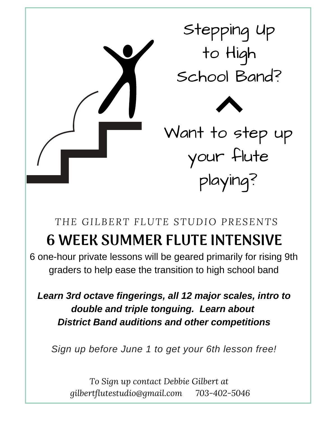

# *THE GILBERT FLUTE STUDIO PRESENTS* 6 WEEK SUMMER FLUTE INTENSIVE

6 one-hour private lessons will be geared primarily for rising 9th graders to help ease the transition to high school band

*Learn 3rd octave fingerings, all 12 major scales, intro to double and triple tonguing. Learn about District Band auditions and other competitions*

*Sign up before June 1 to get your 6th lesson free!*

*To Sign up contact Debbie Gilbert at gilbertflutestudio@gmail.com 703-402-5046*